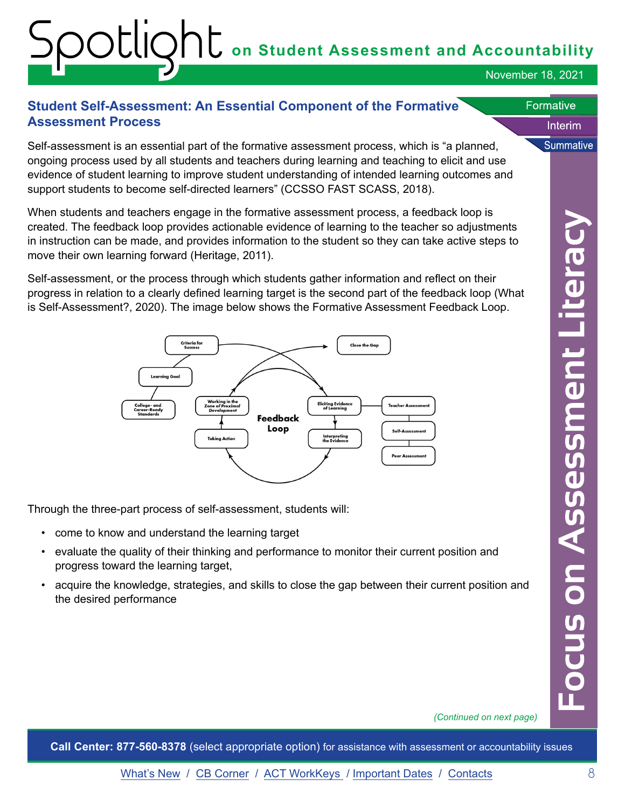### **on Student Assessment and Accountability**

November 18, 2021

Interim

**Summative** 

**Formative** 

#### **Student Self-Assessment: An Essential Component of the Formative Assessment Process**

Self-assessment is an essential part of the formative assessment process, which is "a planned, ongoing process used by all students and teachers during learning and teaching to elicit and use evidence of student learning to improve student understanding of intended learning outcomes and support students to become self-directed learners" (CCSSO FAST SCASS, 2018).

When students and teachers engage in the formative assessment process, a feedback loop is created. The feedback loop provides actionable evidence of learning to the teacher so adjustments in instruction can be made, and provides information to the student so they can take active steps to move their own learning forward (Heritage, 2011).

Self-assessment, or the process through which students gather information and reflect on their progress in relation to a clearly defined learning target is the second part of the feedback loop (What is Self-Assessment?, 2020). The image below shows the Formative Assessment Feedback Loop.



Through the three-part process of self-assessment, students will:

- come to know and understand the learning target
- evaluate the quality of their thinking and performance to monitor their current position and progress toward the learning target,
- acquire the knowledge, strategies, and skills to close the gap between their current position and the desired performance

*(Continued on next page)*

**Call Center: 877-560-8378** (select appropriate option) for assistance with assessment or accountability issues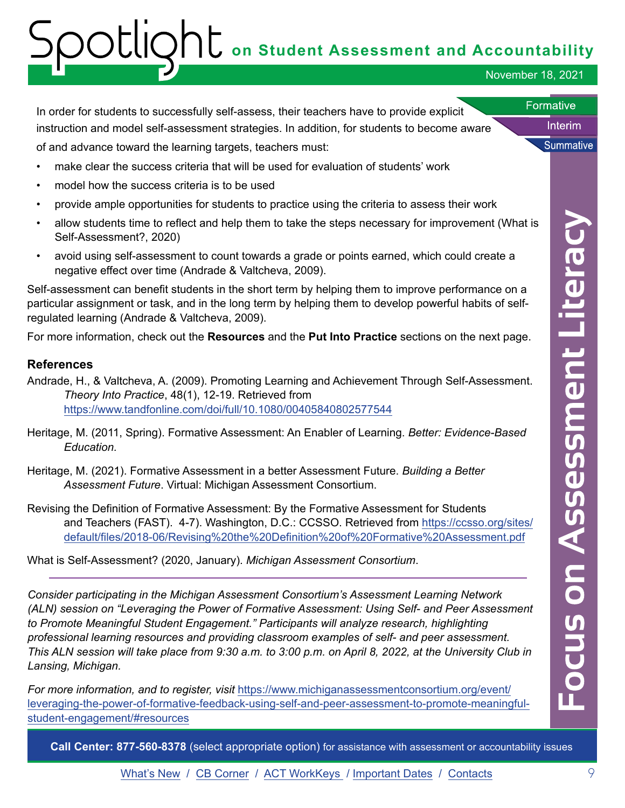## **on Student Assessment and Accountability**

November 18, 2021

Interim

**Summative** 

**Formative** 

In order for students to successfully self-assess, their teachers have to provide explicit instruction and model self-assessment strategies. In addition, for students to become aware

of and advance toward the learning targets, teachers must:

- make clear the success criteria that will be used for evaluation of students' work
- model how the success criteria is to be used
- provide ample opportunities for students to practice using the criteria to assess their work
- allow students time to reflect and help them to take the steps necessary for improvement (What is Self-Assessment?, 2020)
- avoid using self-assessment to count towards a grade or points earned, which could create a negative effect over time (Andrade & Valtcheva, 2009).

Self-assessment can benefit students in the short term by helping them to improve performance on a particular assignment or task, and in the long term by helping them to develop powerful habits of selfregulated learning (Andrade & Valtcheva, 2009).

For more information, check out the **Resources** and the **Put Into Practice** sections on the next page.

#### **References**

- Andrade, H., & Valtcheva, A. (2009). Promoting Learning and Achievement Through Self-Assessment. *Theory Into Practice*, 48(1), 12-19. Retrieved from <https://www.tandfonline.com/doi/full/10.1080/00405840802577544>
- Heritage, M. (2011, Spring). Formative Assessment: An Enabler of Learning. *Better: Evidence-Based Education.*
- Heritage, M. (2021). Formative Assessment in a better Assessment Future. *Building a Better Assessment Future*. Virtual: Michigan Assessment Consortium.
- Revising the Definition of Formative Assessment: By the Formative Assessment for Students and Teachers (FAST). 4-7). Washington, D.C.: CCSSO. Retrieved from ht[tps://ccsso.org/sites/](https://ccsso.org/sites/default/files/2018-06/Revising%20the%20Definition%20of%20Formative%20Assessment.pdf ) [default/files/2018-06/Revising%20the%20Definition%20of%20Formative%20Assessment.pdf](https://ccsso.org/sites/default/files/2018-06/Revising%20the%20Definition%20of%20Formative%20Assessment.pdf )

What is Self-Assessment? (2020, January). *Michigan Assessment Consortium*.

*Consider participating in the Michigan Assessment Consortium's Assessment Learning Network (ALN) session on "Leveraging the Power of Formative Assessment: Using Self- and Peer Assessment to Promote Meaningful Student Engagement." Participants will analyze research, highlighting professional learning resources and providing classroom examples of self- and peer assessment. This ALN session will take place from 9:30 a.m. to 3:00 p.m. on April 8, 2022, at the University Club in Lansing, Michigan.* 

*For more information, and to register, visit [https://www.michiganassessmentconsortium.org/event/](https://www.michiganassessmentconsortium.org/event/leveraging-the-power-of-formative-feedback-using-)* [leveraging-the-power-of-formative-feedback-using-self-and-peer-assessment-to-promote-meaningful](https://www.michiganassessmentconsortium.org/event/leveraging-the-power-of-formative-feedback-using-)[student-engagement/#resources](https://www.michiganassessmentconsortium.org/event/leveraging-the-power-of-formative-feedback-using-)

**Call Center: 877-560-8378** (select appropriate option) for assistance with assessment or accountability issues